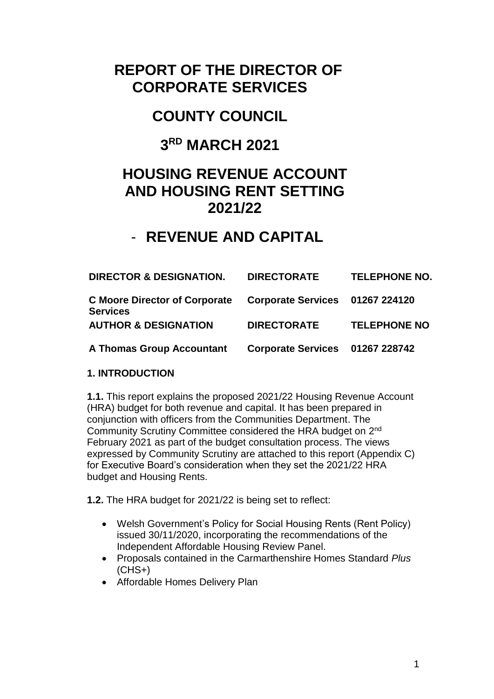# **REPORT OF THE DIRECTOR OF CORPORATE SERVICES**

# **COUNTY COUNCIL**

## **3 RD MARCH 2021**

## **HOUSING REVENUE ACCOUNT AND HOUSING RENT SETTING 2021/22**

## - **REVENUE AND CAPITAL**

| <b>DIRECTOR &amp; DESIGNATION.</b>                                               | <b>DIRECTORATE</b>              | <b>TELEPHONE NO.</b> |
|----------------------------------------------------------------------------------|---------------------------------|----------------------|
| C Moore Director of Corporate Corporate Services 01267 224120<br><b>Services</b> |                                 |                      |
| <b>AUTHOR &amp; DESIGNATION</b>                                                  | <b>DIRECTORATE</b>              | <b>TELEPHONE NO</b>  |
| <b>A Thomas Group Accountant</b>                                                 | Corporate Services 01267 228742 |                      |

## **1. INTRODUCTION**

**1.1.** This report explains the proposed 2021/22 Housing Revenue Account (HRA) budget for both revenue and capital. It has been prepared in conjunction with officers from the Communities Department. The Community Scrutiny Committee considered the HRA budget on 2<sup>nd</sup> February 2021 as part of the budget consultation process. The views expressed by Community Scrutiny are attached to this report (Appendix C) for Executive Board's consideration when they set the 2021/22 HRA budget and Housing Rents.

**1.2.** The HRA budget for 2021/22 is being set to reflect:

- Welsh Government's Policy for Social Housing Rents (Rent Policy) issued 30/11/2020, incorporating the recommendations of the Independent Affordable Housing Review Panel.
- Proposals contained in the Carmarthenshire Homes Standard *Plus*  $(CHS<sub>+</sub>)$
- Affordable Homes Delivery Plan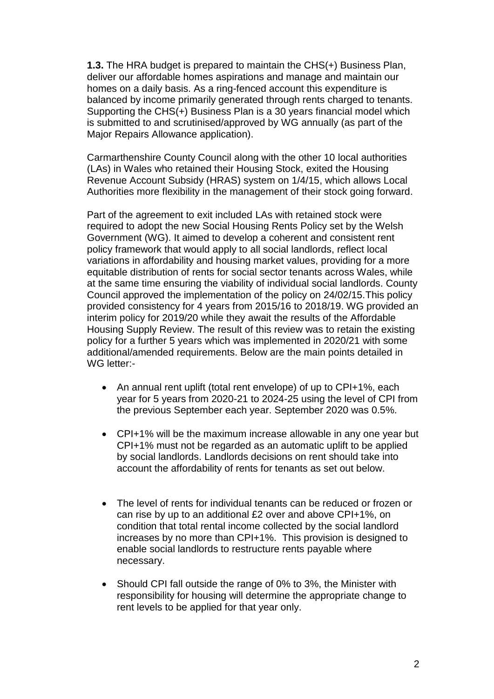**1.3.** The HRA budget is prepared to maintain the CHS(+) Business Plan, deliver our affordable homes aspirations and manage and maintain our homes on a daily basis. As a ring-fenced account this expenditure is balanced by income primarily generated through rents charged to tenants. Supporting the CHS(+) Business Plan is a 30 years financial model which is submitted to and scrutinised/approved by WG annually (as part of the Major Repairs Allowance application).

Carmarthenshire County Council along with the other 10 local authorities (LAs) in Wales who retained their Housing Stock, exited the Housing Revenue Account Subsidy (HRAS) system on 1/4/15, which allows Local Authorities more flexibility in the management of their stock going forward.

Part of the agreement to exit included LAs with retained stock were required to adopt the new Social Housing Rents Policy set by the Welsh Government (WG). It aimed to develop a coherent and consistent rent policy framework that would apply to all social landlords, reflect local variations in affordability and housing market values, providing for a more equitable distribution of rents for social sector tenants across Wales, while at the same time ensuring the viability of individual social landlords. County Council approved the implementation of the policy on 24/02/15.This policy provided consistency for 4 years from 2015/16 to 2018/19. WG provided an interim policy for 2019/20 while they await the results of the Affordable Housing Supply Review. The result of this review was to retain the existing policy for a further 5 years which was implemented in 2020/21 with some additional/amended requirements. Below are the main points detailed in WG letter:-

- An annual rent uplift (total rent envelope) of up to CPI+1%, each year for 5 years from 2020-21 to 2024-25 using the level of CPI from the previous September each year. September 2020 was 0.5%.
- CPI+1% will be the maximum increase allowable in any one year but CPI+1% must not be regarded as an automatic uplift to be applied by social landlords. Landlords decisions on rent should take into account the affordability of rents for tenants as set out below.
- The level of rents for individual tenants can be reduced or frozen or can rise by up to an additional £2 over and above CPI+1%, on condition that total rental income collected by the social landlord increases by no more than CPI+1%. This provision is designed to enable social landlords to restructure rents payable where necessary.
- Should CPI fall outside the range of 0% to 3%, the Minister with responsibility for housing will determine the appropriate change to rent levels to be applied for that year only.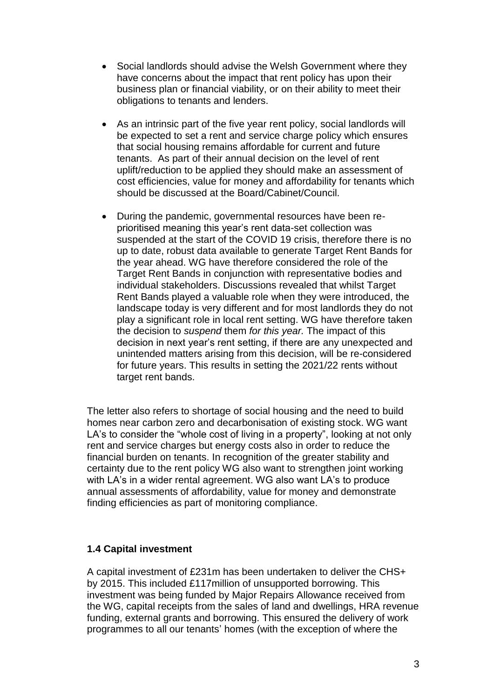- Social landlords should advise the Welsh Government where they have concerns about the impact that rent policy has upon their business plan or financial viability, or on their ability to meet their obligations to tenants and lenders.
- As an intrinsic part of the five year rent policy, social landlords will be expected to set a rent and service charge policy which ensures that social housing remains affordable for current and future tenants. As part of their annual decision on the level of rent uplift/reduction to be applied they should make an assessment of cost efficiencies, value for money and affordability for tenants which should be discussed at the Board/Cabinet/Council.
- During the pandemic, governmental resources have been reprioritised meaning this year's rent data-set collection was suspended at the start of the COVID 19 crisis, therefore there is no up to date, robust data available to generate Target Rent Bands for the year ahead. WG have therefore considered the role of the Target Rent Bands in conjunction with representative bodies and individual stakeholders. Discussions revealed that whilst Target Rent Bands played a valuable role when they were introduced, the landscape today is very different and for most landlords they do not play a significant role in local rent setting. WG have therefore taken the decision to *suspend* them *for this year.* The impact of this decision in next year's rent setting, if there are any unexpected and unintended matters arising from this decision, will be re-considered for future years. This results in setting the 2021/22 rents without target rent bands.

The letter also refers to shortage of social housing and the need to build homes near carbon zero and decarbonisation of existing stock. WG want LA's to consider the "whole cost of living in a property", looking at not only rent and service charges but energy costs also in order to reduce the financial burden on tenants. In recognition of the greater stability and certainty due to the rent policy WG also want to strengthen joint working with LA's in a wider rental agreement. WG also want LA's to produce annual assessments of affordability, value for money and demonstrate finding efficiencies as part of monitoring compliance.

## **1.4 Capital investment**

A capital investment of £231m has been undertaken to deliver the CHS+ by 2015. This included £117million of unsupported borrowing. This investment was being funded by Major Repairs Allowance received from the WG, capital receipts from the sales of land and dwellings, HRA revenue funding, external grants and borrowing. This ensured the delivery of work programmes to all our tenants' homes (with the exception of where the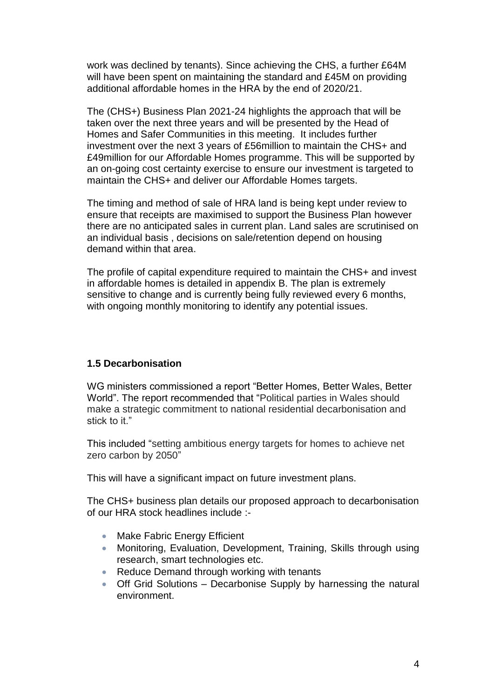work was declined by tenants). Since achieving the CHS, a further £64M will have been spent on maintaining the standard and £45M on providing additional affordable homes in the HRA by the end of 2020/21.

The (CHS+) Business Plan 2021-24 highlights the approach that will be taken over the next three years and will be presented by the Head of Homes and Safer Communities in this meeting. It includes further investment over the next 3 years of £56million to maintain the CHS+ and £49million for our Affordable Homes programme. This will be supported by an on-going cost certainty exercise to ensure our investment is targeted to maintain the CHS+ and deliver our Affordable Homes targets.

The timing and method of sale of HRA land is being kept under review to ensure that receipts are maximised to support the Business Plan however there are no anticipated sales in current plan. Land sales are scrutinised on an individual basis , decisions on sale/retention depend on housing demand within that area.

The profile of capital expenditure required to maintain the CHS+ and invest in affordable homes is detailed in appendix B. The plan is extremely sensitive to change and is currently being fully reviewed every 6 months, with ongoing monthly monitoring to identify any potential issues.

## **1.5 Decarbonisation**

WG ministers commissioned a report "Better Homes, Better Wales, Better World". The report recommended that "Political parties in Wales should make a strategic commitment to national residential decarbonisation and stick to it."

This included "setting ambitious energy targets for homes to achieve net zero carbon by 2050"

This will have a significant impact on future investment plans.

The CHS+ business plan details our proposed approach to decarbonisation of our HRA stock headlines include :-

- Make Fabric Energy Efficient
- Monitoring, Evaluation, Development, Training, Skills through using research, smart technologies etc.
- Reduce Demand through working with tenants
- Off Grid Solutions Decarbonise Supply by harnessing the natural environment.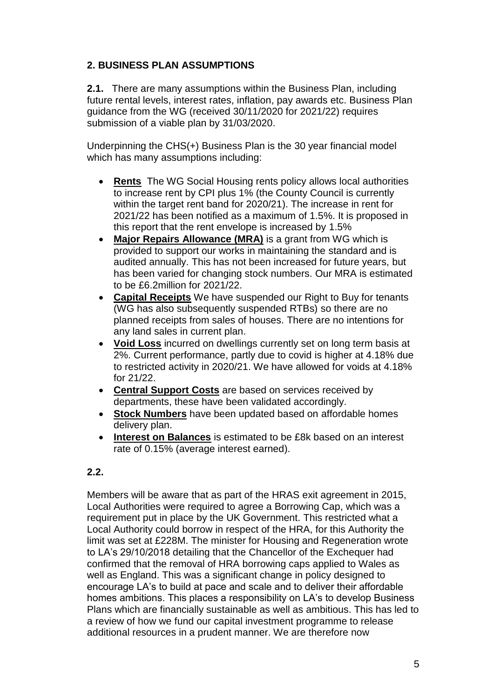## **2. BUSINESS PLAN ASSUMPTIONS**

**2.1.** There are many assumptions within the Business Plan, including future rental levels, interest rates, inflation, pay awards etc. Business Plan guidance from the WG (received 30/11/2020 for 2021/22) requires submission of a viable plan by 31/03/2020.

Underpinning the CHS(+) Business Plan is the 30 year financial model which has many assumptions including:

- **Rents** The WG Social Housing rents policy allows local authorities to increase rent by CPI plus 1% (the County Council is currently within the target rent band for 2020/21). The increase in rent for 2021/22 has been notified as a maximum of 1.5%. It is proposed in this report that the rent envelope is increased by 1.5%
- **Major Repairs Allowance (MRA)** is a grant from WG which is provided to support our works in maintaining the standard and is audited annually. This has not been increased for future years, but has been varied for changing stock numbers. Our MRA is estimated to be £6.2million for 2021/22.
- **Capital Receipts** We have suspended our Right to Buy for tenants (WG has also subsequently suspended RTBs) so there are no planned receipts from sales of houses. There are no intentions for any land sales in current plan.
- **Void Loss** incurred on dwellings currently set on long term basis at 2%. Current performance, partly due to covid is higher at 4.18% due to restricted activity in 2020/21. We have allowed for voids at 4.18% for 21/22.
- **Central Support Costs** are based on services received by departments, these have been validated accordingly.
- **Stock Numbers** have been updated based on affordable homes delivery plan.
- **Interest on Balances** is estimated to be £8k based on an interest rate of 0.15% (average interest earned).

## **2.2.**

Members will be aware that as part of the HRAS exit agreement in 2015, Local Authorities were required to agree a Borrowing Cap, which was a requirement put in place by the UK Government. This restricted what a Local Authority could borrow in respect of the HRA, for this Authority the limit was set at £228M. The minister for Housing and Regeneration wrote to LA's 29/10/2018 detailing that the Chancellor of the Exchequer had confirmed that the removal of HRA borrowing caps applied to Wales as well as England. This was a significant change in policy designed to encourage LA's to build at pace and scale and to deliver their affordable homes ambitions. This places a responsibility on LA's to develop Business Plans which are financially sustainable as well as ambitious. This has led to a review of how we fund our capital investment programme to release additional resources in a prudent manner. We are therefore now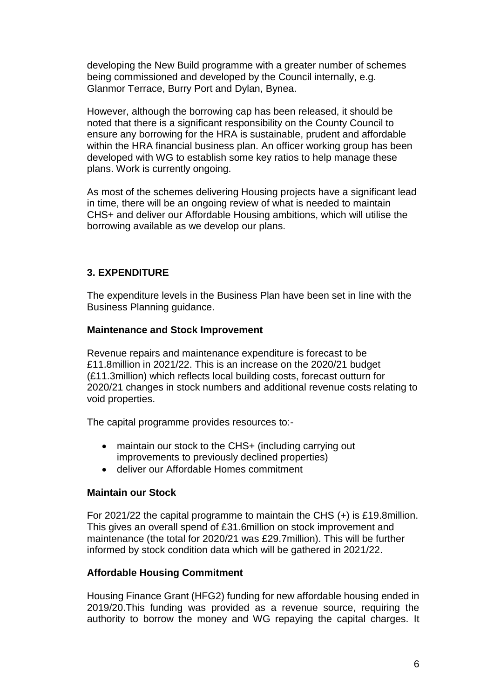developing the New Build programme with a greater number of schemes being commissioned and developed by the Council internally, e.g. Glanmor Terrace, Burry Port and Dylan, Bynea.

However, although the borrowing cap has been released, it should be noted that there is a significant responsibility on the County Council to ensure any borrowing for the HRA is sustainable, prudent and affordable within the HRA financial business plan. An officer working group has been developed with WG to establish some key ratios to help manage these plans. Work is currently ongoing.

As most of the schemes delivering Housing projects have a significant lead in time, there will be an ongoing review of what is needed to maintain CHS+ and deliver our Affordable Housing ambitions, which will utilise the borrowing available as we develop our plans.

## **3. EXPENDITURE**

The expenditure levels in the Business Plan have been set in line with the Business Planning guidance.

#### **Maintenance and Stock Improvement**

Revenue repairs and maintenance expenditure is forecast to be £11.8million in 2021/22. This is an increase on the 2020/21 budget (£11.3million) which reflects local building costs, forecast outturn for 2020/21 changes in stock numbers and additional revenue costs relating to void properties.

The capital programme provides resources to:-

- maintain our stock to the CHS+ (including carrying out improvements to previously declined properties)
- deliver our Affordable Homes commitment

#### **Maintain our Stock**

For 2021/22 the capital programme to maintain the CHS (+) is £19.8million. This gives an overall spend of £31.6million on stock improvement and maintenance (the total for 2020/21 was £29.7million). This will be further informed by stock condition data which will be gathered in 2021/22.

#### **Affordable Housing Commitment**

Housing Finance Grant (HFG2) funding for new affordable housing ended in 2019/20.This funding was provided as a revenue source, requiring the authority to borrow the money and WG repaying the capital charges. It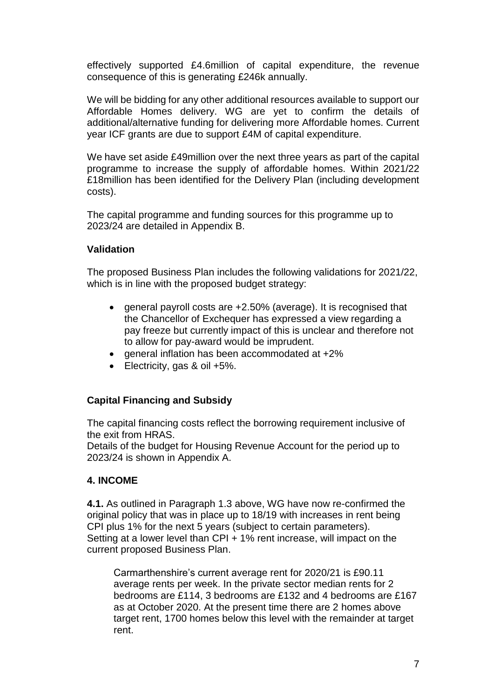effectively supported £4.6million of capital expenditure, the revenue consequence of this is generating £246k annually.

We will be bidding for any other additional resources available to support our Affordable Homes delivery. WG are yet to confirm the details of additional/alternative funding for delivering more Affordable homes. Current year ICF grants are due to support £4M of capital expenditure.

We have set aside £49million over the next three years as part of the capital programme to increase the supply of affordable homes. Within 2021/22 £18million has been identified for the Delivery Plan (including development costs).

The capital programme and funding sources for this programme up to 2023/24 are detailed in Appendix B.

#### **Validation**

The proposed Business Plan includes the following validations for 2021/22, which is in line with the proposed budget strategy:

- general payroll costs are  $+2.50\%$  (average). It is recognised that the Chancellor of Exchequer has expressed a view regarding a pay freeze but currently impact of this is unclear and therefore not to allow for pay-award would be imprudent.
- general inflation has been accommodated at +2%
- Electricity, gas & oil +5%.

## **Capital Financing and Subsidy**

The capital financing costs reflect the borrowing requirement inclusive of the exit from HRAS.

Details of the budget for Housing Revenue Account for the period up to 2023/24 is shown in Appendix A.

#### **4. INCOME**

**4.1.** As outlined in Paragraph 1.3 above, WG have now re-confirmed the original policy that was in place up to 18/19 with increases in rent being CPI plus 1% for the next 5 years (subject to certain parameters). Setting at a lower level than CPI + 1% rent increase, will impact on the current proposed Business Plan.

Carmarthenshire's current average rent for 2020/21 is £90.11 average rents per week. In the private sector median rents for 2 bedrooms are £114, 3 bedrooms are £132 and 4 bedrooms are £167 as at October 2020. At the present time there are 2 homes above target rent, 1700 homes below this level with the remainder at target rent.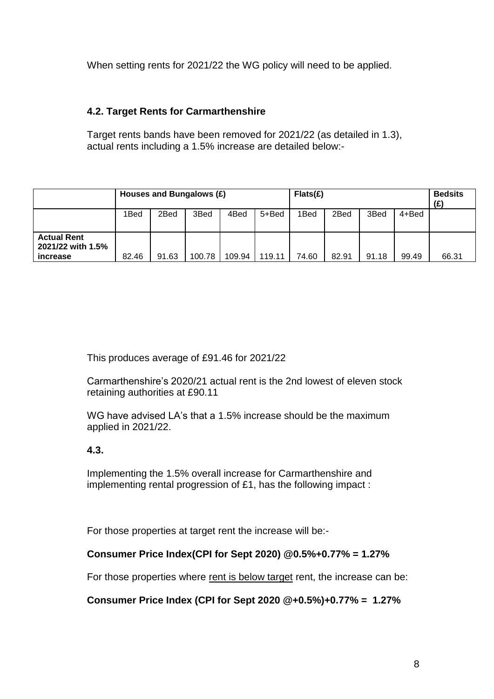When setting rents for 2021/22 the WG policy will need to be applied.

## **4.2. Target Rents for Carmarthenshire**

Target rents bands have been removed for 2021/22 (as detailed in 1.3), actual rents including a 1.5% increase are detailed below:-

|                                                     | Houses and Bungalows (£) |       |        |        | Flats(E) |       |       |       | <b>Bedsits</b><br>$(\boldsymbol{\mathrm{f}})$ |       |
|-----------------------------------------------------|--------------------------|-------|--------|--------|----------|-------|-------|-------|-----------------------------------------------|-------|
|                                                     | 1Bed                     | 2Bed  | 3Bed   | 4Bed   | 5+Bed    | 1Bed  | 2Bed  | 3Bed  | 4+Bed                                         |       |
| <b>Actual Rent</b><br>2021/22 with 1.5%<br>increase | 82.46                    | 91.63 | 100.78 | 109.94 | 119.11   | 74.60 | 82.91 | 91.18 | 99.49                                         | 66.31 |

This produces average of £91.46 for 2021/22

Carmarthenshire's 2020/21 actual rent is the 2nd lowest of eleven stock retaining authorities at £90.11

WG have advised LA's that a 1.5% increase should be the maximum applied in 2021/22.

## **4.3.**

Implementing the 1.5% overall increase for Carmarthenshire and implementing rental progression of £1, has the following impact :

For those properties at target rent the increase will be:-

## **Consumer Price Index(CPI for Sept 2020) @0.5%+0.77% = 1.27%**

For those properties where rent is below target rent, the increase can be:

**Consumer Price Index (CPI for Sept 2020 @+0.5%)+0.77% = 1.27%**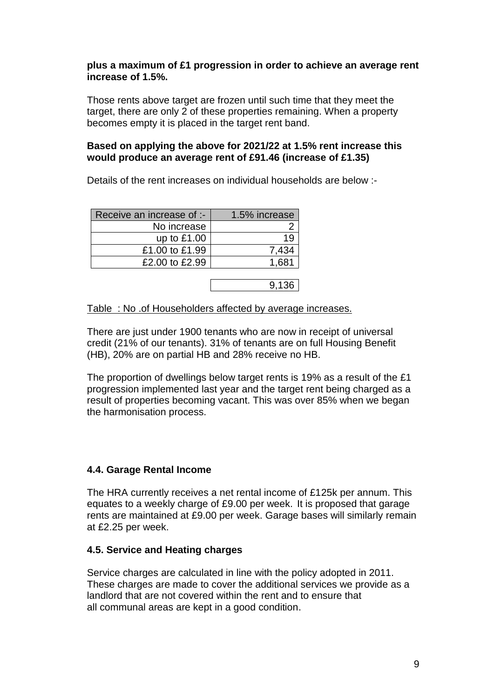#### **plus a maximum of £1 progression in order to achieve an average rent increase of 1.5%.**

Those rents above target are frozen until such time that they meet the target, there are only 2 of these properties remaining. When a property becomes empty it is placed in the target rent band.

#### **Based on applying the above for 2021/22 at 1.5% rent increase this would produce an average rent of £91.46 (increase of £1.35)**

Details of the rent increases on individual households are below :-

| Receive an increase of :- | 1.5% increase |  |  |  |
|---------------------------|---------------|--|--|--|
| No increase               |               |  |  |  |
| up to $£1.00$             |               |  |  |  |
| £1.00 to £1.99            | 7.434         |  |  |  |
| £2.00 to £2.99            | 1.681         |  |  |  |
|                           |               |  |  |  |

9,136

Table : No .of Householders affected by average increases.

There are just under 1900 tenants who are now in receipt of universal credit (21% of our tenants). 31% of tenants are on full Housing Benefit (HB), 20% are on partial HB and 28% receive no HB.

The proportion of dwellings below target rents is 19% as a result of the £1 progression implemented last year and the target rent being charged as a result of properties becoming vacant. This was over 85% when we began the harmonisation process.

## **4.4. Garage Rental Income**

The HRA currently receives a net rental income of £125k per annum. This equates to a weekly charge of £9.00 per week. It is proposed that garage rents are maintained at £9.00 per week. Garage bases will similarly remain at £2.25 per week.

## **4.5. Service and Heating charges**

Service charges are calculated in line with the policy adopted in 2011. These charges are made to cover the additional services we provide as a landlord that are not covered within the rent and to ensure that all communal areas are kept in a good condition.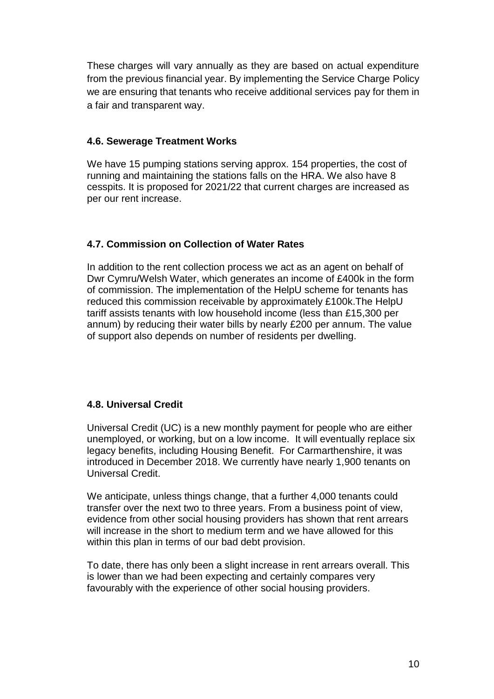These charges will vary annually as they are based on actual expenditure from the previous financial year. By implementing the Service Charge Policy we are ensuring that tenants who receive additional services pay for them in a fair and transparent way.

## **4.6. Sewerage Treatment Works**

We have 15 pumping stations serving approx. 154 properties, the cost of running and maintaining the stations falls on the HRA. We also have 8 cesspits. It is proposed for 2021/22 that current charges are increased as per our rent increase.

## **4.7. Commission on Collection of Water Rates**

In addition to the rent collection process we act as an agent on behalf of Dwr Cymru/Welsh Water, which generates an income of £400k in the form of commission. The implementation of the HelpU scheme for tenants has reduced this commission receivable by approximately £100k.The HelpU tariff assists tenants with low household income (less than £15,300 per annum) by reducing their water bills by nearly £200 per annum. The value of support also depends on number of residents per dwelling.

## **4.8. Universal Credit**

Universal Credit (UC) is a new monthly payment for people who are either unemployed, or working, but on a low income. It will eventually replace six legacy benefits, including Housing Benefit. For Carmarthenshire, it was introduced in December 2018. We currently have nearly 1,900 tenants on Universal Credit.

We anticipate, unless things change, that a further 4,000 tenants could transfer over the next two to three years. From a business point of view, evidence from other social housing providers has shown that rent arrears will increase in the short to medium term and we have allowed for this within this plan in terms of our bad debt provision.

To date, there has only been a slight increase in rent arrears overall. This is lower than we had been expecting and certainly compares very favourably with the experience of other social housing providers.